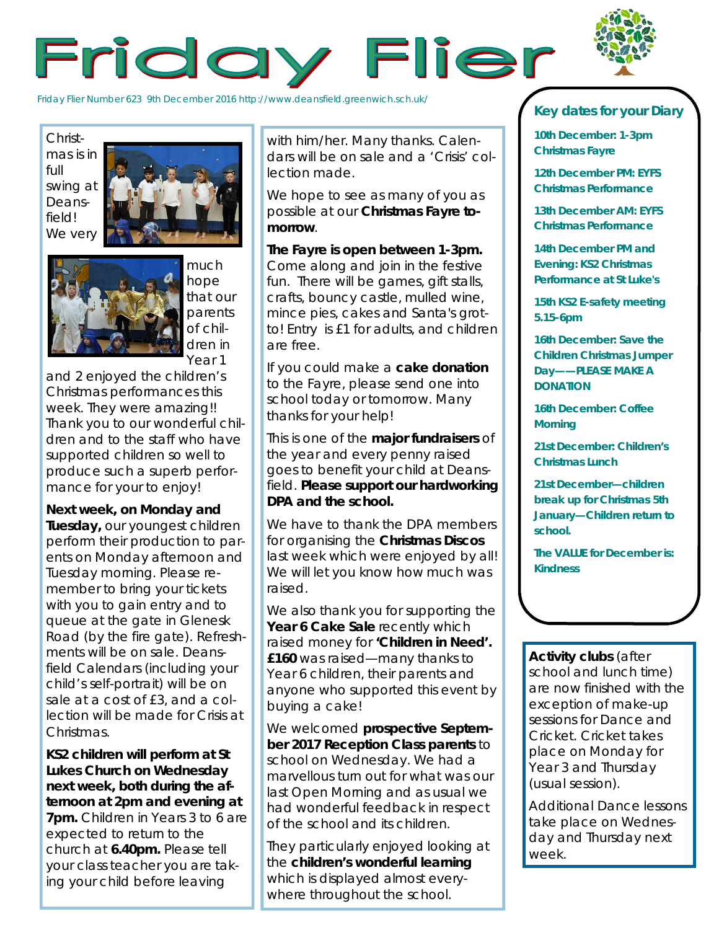

Friday Flier Number 623 9th December 2016 http://www.deansfield.greenwich.sch.uk/

Christmas is in full swing at Deansfield!





much hope that our parents of children in Year 1

and 2 enjoyed the children's Christmas performances this week. They were amazing!! Thank you to our wonderful children and to the staff who have supported children so well to produce such a superb performance for your to enjoy!

## **Next week, on Monday and**

**Tuesday,** our youngest children perform their production to parents on Monday afternoon and Tuesday morning. Please remember to bring your tickets with you to gain entry and to queue at the gate in Glenesk Road (by the fire gate). Refreshments will be on sale. Deansfield Calendars (including your child's self-portrait) will be on sale at a cost of £3, and a collection will be made for Crisis at Christmas.

**KS2 children will perform at St Lukes Church on Wednesday next week, both during the afternoon at 2pm and evening at 7pm.** Children in Years 3 to 6 are expected to return to the church at **6.40pm.** Please tell your class teacher you are taking your child before leaving

with him/her. Many thanks. Calendars will be on sale and a 'Crisis' collection made.

We hope to see as many of you as possible at our **Christmas Fayre tomorrow**.

**The Fayre is open between 1-3pm.**  Come along and join in the festive fun. There will be games, gift stalls, crafts, bouncy castle, mulled wine, mince pies, cakes and Santa's grotto! Entry is £1 for adults, and children are free.

If you could make a **cake donation**  to the Fayre, please send one into school today or tomorrow. Many thanks for your help!

This is one of the **major fundraisers** of the year and every penny raised goes to benefit your child at Deansfield. **Please support our hardworking DPA and the school.**

We have to thank the DPA members for organising the **Christmas Discos**  last week which were enjoyed by all! We will let you know how much was raised.

We also thank you for supporting the **Year 6 Cake Sale** recently which raised money for **'Children in Need'. £160** was raised—many thanks to Year 6 children, their parents and anyone who supported this event by buying a cake!

We welcomed **prospective September 2017 Reception Class parents** to school on Wednesday. We had a marvellous turn out for what was our last Open Morning and as usual we had wonderful feedback in respect of the school and its children.

They particularly enjoyed looking at the **children's wonderful learning**  which is displayed almost everywhere throughout the school.

## **Key dates for your Diary**

**10th December: 1-3pm Christmas Fayre**

**12th December PM: EYFS Christmas Performance**

**13th December AM: EYFS Christmas Performance**

**14th December PM and Evening: KS2 Christmas Performance at St Luke's**

**15th KS2 E-safety meeting 5.15-6pm**

**16th December: Save the Children Christmas Jumper Day——PLEASE MAKE A DONATION**

**16th December: Coffee Morning**

**21st December: Children's Christmas Lunch**

**21st December—children break up for Christmas 5th January—Children return to school.** 

**The VALUE for December is: Kindness**

**Activity clubs** (after school and lunch time) are now finished with the exception of make-up sessions for Dance and Cricket. Cricket takes place on Monday for Year 3 and Thursday (usual session).

Additional Dance lessons take place on Wednesday and Thursday next week.